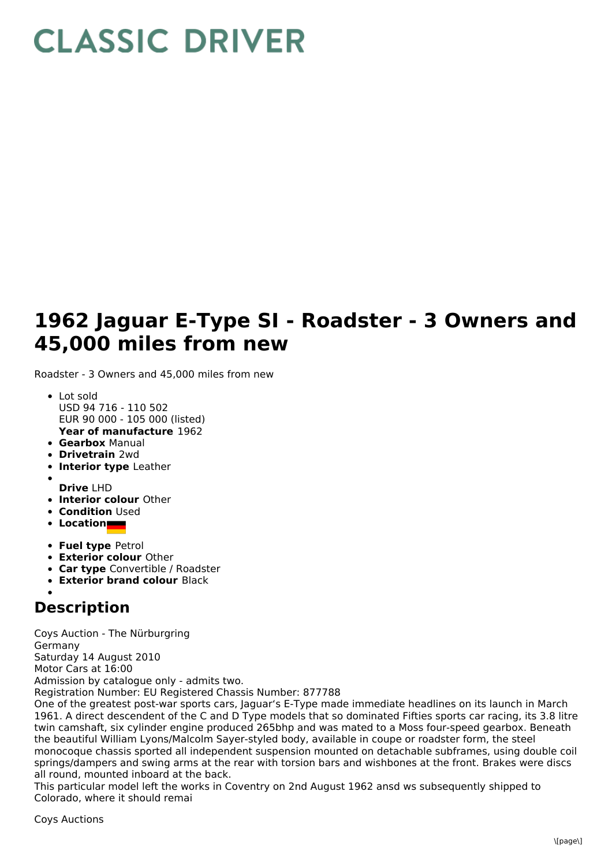## **CLASSIC DRIVER**

## **1962 Jaguar E-Type SI - Roadster - 3 Owners and 45,000 miles from new**

Roadster - 3 Owners and 45,000 miles from new

- **Year of manufacture** 1962 • Lot sold USD 94 716 - 110 502 EUR 90 000 - 105 000 (listed)
- **Gearbox** Manual
- **Drivetrain** 2wd
- **Interior type** Leather
- 
- **Drive** LHD
- **Interior colour** Other
- **Condition Used**
- **Location**
- **Fuel type** Petrol
- **Exterior colour** Other
- **Car type** Convertible / Roadster
- **Exterior brand colour** Black

## **Description**

Coys Auction - The Nürburgring Germany Saturday 14 August 2010 Motor Cars at 16:00 Admission by catalogue only - admits two. Registration Number: EU Registered Chassis Number: 877788 One of the greatest post-war sports cars, Jaguar's E-Type made immediate headlines on its launch in March 1961. A direct descendent of the C and D Type models that so dominated Fifties sports car racing, its 3.8 litre twin camshaft, six cylinder engine produced 265bhp and was mated to a Moss four-speed gearbox. Beneath the beautiful William Lyons/Malcolm Sayer-styled body, available in coupe or roadster form, the steel monocoque chassis sported all independent suspension mounted on detachable subframes, using double coil

springs/dampers and swing arms at the rear with torsion bars and wishbones at the front. Brakes were discs all round, mounted inboard at the back.

This particular model left the works in Coventry on 2nd August 1962 ansd ws subsequently shipped to Colorado, where it should remai

Coys Auctions